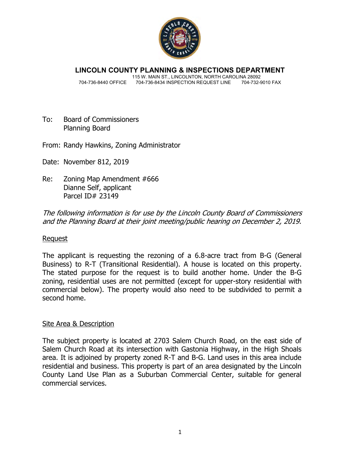

**LINCOLN COUNTY PLANNING & INSPECTIONS DEPARTMENT**

 115 W. MAIN ST., LINCOLNTON, NORTH CAROLINA 28092 704-736-8440 OFFICE 704-736-8434 INSPECTION REQUEST LINE

- To: Board of Commissioners Planning Board
- From: Randy Hawkins, Zoning Administrator

Date: November 812, 2019

Re: Zoning Map Amendment #666 Dianne Self, applicant Parcel ID# 23149

The following information is for use by the Lincoln County Board of Commissioners and the Planning Board at their joint meeting/public hearing on December 2, 2019.

#### Request

The applicant is requesting the rezoning of a 6.8-acre tract from B-G (General Business) to R-T (Transitional Residential). A house is located on this property. The stated purpose for the request is to build another home. Under the B-G zoning, residential uses are not permitted (except for upper-story residential with commercial below). The property would also need to be subdivided to permit a second home.

#### Site Area & Description

The subject property is located at 2703 Salem Church Road, on the east side of Salem Church Road at its intersection with Gastonia Highway, in the High Shoals area. It is adjoined by property zoned R-T and B-G. Land uses in this area include residential and business. This property is part of an area designated by the Lincoln County Land Use Plan as a Suburban Commercial Center, suitable for general commercial services.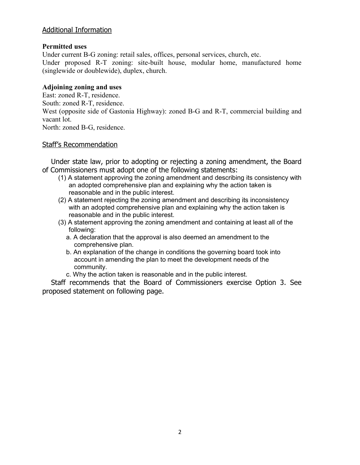### Additional Information

#### **Permitted uses**

Under current B-G zoning: retail sales, offices, personal services, church, etc. Under proposed R-T zoning: site-built house, modular home, manufactured home (singlewide or doublewide), duplex, church.

#### **Adjoining zoning and uses**

East: zoned R-T, residence. South: zoned R-T, residence. West (opposite side of Gastonia Highway): zoned B-G and R-T, commercial building and vacant lot. North: zoned B-G, residence.

#### Staff's Recommendation

 Under state law, prior to adopting or rejecting a zoning amendment, the Board of Commissioners must adopt one of the following statements:

- (1) A statement approving the zoning amendment and describing its consistency with an adopted comprehensive plan and explaining why the action taken is reasonable and in the public interest.
- (2) A statement rejecting the zoning amendment and describing its inconsistency with an adopted comprehensive plan and explaining why the action taken is reasonable and in the public interest.
- (3) A statement approving the zoning amendment and containing at least all of the following:
	- a. A declaration that the approval is also deemed an amendment to the comprehensive plan.
	- b. An explanation of the change in conditions the governing board took into account in amending the plan to meet the development needs of the community.
	- c. Why the action taken is reasonable and in the public interest.

 Staff recommends that the Board of Commissioners exercise Option 3. See proposed statement on following page.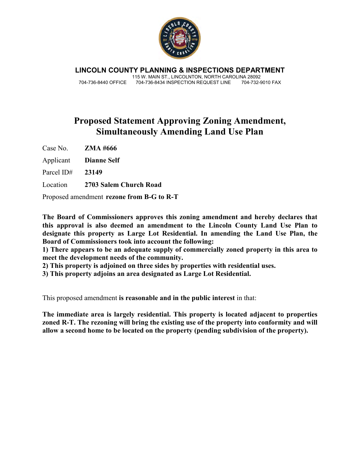

**LINCOLN COUNTY PLANNING & INSPECTIONS DEPARTMENT** 115 W. MAIN ST., LINCOLNTON, NORTH CAROLINA 28092 704-736-8440 OFFICE 704-736-8434 INSPECTION REQUEST LINE

## **Proposed Statement Approving Zoning Amendment, Simultaneously Amending Land Use Plan**

Case No. **ZMA #666** 

Applicant **Dianne Self** 

Parcel ID# **23149** 

Location **2703 Salem Church Road** 

Proposed amendment **rezone from B-G to R-T** 

**The Board of Commissioners approves this zoning amendment and hereby declares that this approval is also deemed an amendment to the Lincoln County Land Use Plan to designate this property as Large Lot Residential. In amending the Land Use Plan, the Board of Commissioners took into account the following:** 

**1) There appears to be an adequate supply of commercially zoned property in this area to meet the development needs of the community.** 

**2) This property is adjoined on three sides by properties with residential uses.** 

**3) This property adjoins an area designated as Large Lot Residential.** 

This proposed amendment **is reasonable and in the public interest** in that:

**The immediate area is largely residential. This property is located adjacent to properties zoned R-T. The rezoning will bring the existing use of the property into conformity and will allow a second home to be located on the property (pending subdivision of the property).**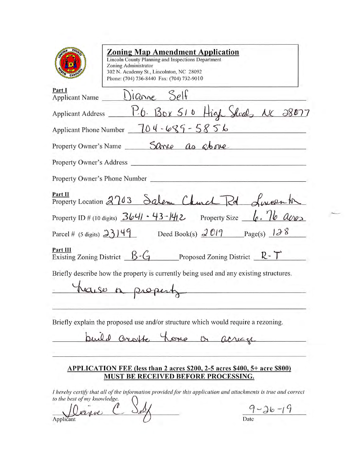|          | <b>Zoning Map Amendment Application</b><br><b>Lincoln County Planning and Inspections Department</b><br>Zoning Administrator<br>302 N. Academy St., Lincolnton, NC 28092<br>Phone: (704) 736-8440 Fax: (704) 732-9010                |
|----------|--------------------------------------------------------------------------------------------------------------------------------------------------------------------------------------------------------------------------------------|
| Part I   | $\frac{\text{Part1}}{\text{Application Name}}$ $\frac{\text{Dir}(\text{Andre})}{\text{Dir}(\text{E})}$                                                                                                                               |
|          | Applicant Address P.6. Box 510 High Shoals NC 28077                                                                                                                                                                                  |
|          | Applicant Phone Number $\sqrt{704-685-5856}$                                                                                                                                                                                         |
|          | Property Owner's Name ______ Sarve as above                                                                                                                                                                                          |
|          | Property Owner's Address <u>Community of the Secret Secret Secret Secret Secret Secret Secret Secret Secret Secret Secret Secret Secret Secret Secret Secret Secret Secret Secret Secret Secret Secret Secret Secret Secret Secr</u> |
|          | Property Owner's Phone Number                                                                                                                                                                                                        |
| Part II  | $\frac{\text{Part II}}{\text{Property Location 2703} }$ Salem Church Rd Sween to                                                                                                                                                     |
|          | Property ID # (10 digits) $3641 \cdot 43 - 142$ Property Size $\lfloor \cdot \cdot \cdot \rfloor$ $\alpha$                                                                                                                           |
|          | Parcel # (5 digits) $23149$ Deed Book(s) $2019$ Page(s) $138$                                                                                                                                                                        |
| Part III | Existing Zoning District $\beta G$ Proposed Zoning District $\mathbb{R} \cdot \mathbb{T}$                                                                                                                                            |
|          | Briefly describe how the property is currently being used and any existing structures.<br>have a property                                                                                                                            |
|          | Briefly explain the proposed use and/or structure which would require a rezoning.<br>puild crotte home or acreage                                                                                                                    |

#### APPLICATION FEE (less than 2 acres \$200, 2-5 acres \$400, 5+ acre \$800) MUST BE RECEIVED BEFORE PROCESSING.

I hereby certify that all of the information provided for this application and attachments is true and correct to the best of my knowledge.

 $\overline{\phantom{0}}$ rive Applicant

 $9 - 36 - 19$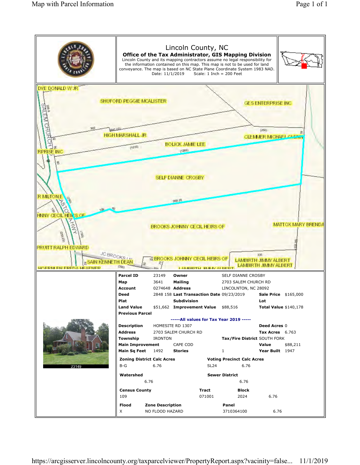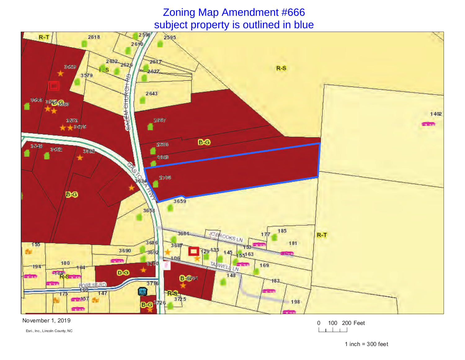# Zoning Map Amendment #666subject property is outlined in blue



November 1, 2019

Esri., Inc., Lincoln County, NC

0 100 200 Feet